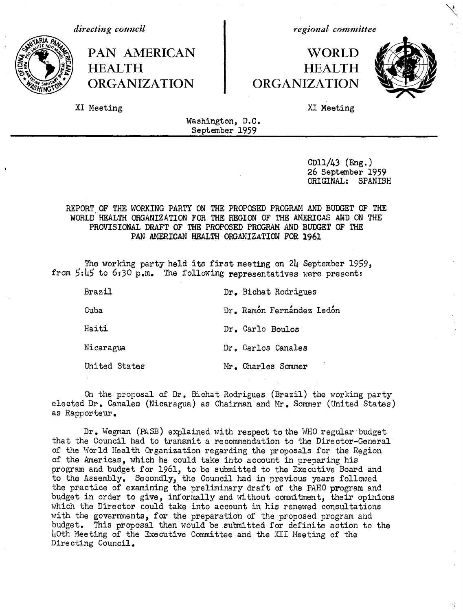

**HEALTH ORGANIZATION ORGANIZATION**

*directing council regional committee*

# **PAN AMERICAN WORLD HEALTH**



XI Meeting XI Meeting

Washington, D.C. September 1959

> CDll/43 (Eng.) 26 September 1959 ORIGINAL: SPANISH

## REPORT OF THE WORKING PARTY ON THE PROPOSED PROGRAM AND BUDGET OF THE WORLD HEALTH ORGANIZATION FOR THE REGION OF THE AMERICAS AND ON THE PROVISIONAL DRAFT OF THE PROPOSED PROGRAM AND BUDGET OF THE **PAN AMERICAN HEALTH ORGANIZATION FOR 1961**

The working party held its first meeting on 24 September 1959, from 5:45 to 6:30 p.m. The following representatives were present:

| Brazil        | Dr. Bichat Rodrigues      |
|---------------|---------------------------|
| Cuba          | Dr. Ramón Fernández Ledón |
| Haiti         | Dr. Carlo Boulos          |
| Nicaragua     | Dr. Carlos Canales        |
| United States | Mr. Charles Sommer        |

On the proposal of Dr. Bichat Rodrigues (Brazil) the working party elected Dr. Canales (Nicaragua) as Chairman and Mr. Sommer (United States) as Rapporteur.

Dr. Wegman (PASB) explained with respect tothe WHO regular budget that the Council had to transmit a recommendation to the Director-General of the World Health Organization regarding the proposals for the Region of the Americas, which he could take into account in preparing his program and budget for 1961, to be submitted to the Executive Board and to the Assembly. Secondly, the Council had in previous years followed the practice of examining the preliminary draft of the PAHO program and budget in order to give, informally and without commitment, their opinions which the Director could take into account in his renewed consultations with the governments, for the preparation of the proposed program and budget. This proposal then would be submitted for definite action to the hOth Meeting of the Executive Committee and the XII Meeting of the Directing Council.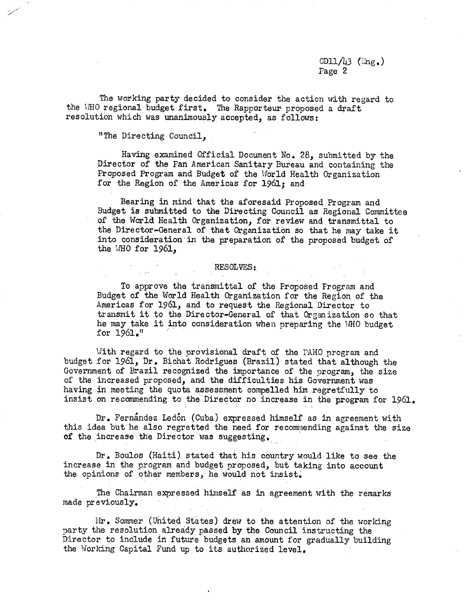## CD11/43 ( $\text{Eng.}$ ) Page 2

The working party decided to consider the action with regard to the WHO regional budget first. The Rapporteur proposed a draft resolution which was unanimously accepted, as follows:

"The Directing Council,

Having examined Official Document No. 28, submitted by the Director of the Fan American Sanitary Bureau and containing the Proposed Program and Budget of the World Health Organization for the Region of the Americas for 1961; and

Bearing in mind that the aforesaid Proposed Program and Budget is submitted to the Directing Council as Regional Committee of the World Health Organization, for review and transmittal to the Director-General of that Organization so that he may take it into consideration in the preparation of the proposed budget of the WHO for  $1961$ ,

#### RESOLVES:

To approve the transmittal of the Proposed Program and Budget of the World Health Organization for the Region of the Americas for 1961, and to request the Regional Director to transmit it to the Director-General of that Organization so that he may take it into consideration when preparing the WHO budget for 1961."

With regard to the orovisional draft of the PAHO program and budget for 1961, Dr. Bichat Rodrigues (Brazil) stated that although the Government of Brazil recognized the importance of the program, the size of the increased proposed, and the difficulties his Government was having in meeting the quota assessment compelled him regretfully to insist on recommending to the Director no increase in the program for 1961.

Dr. Fernandez Ledon (Cuba) expressed himself as in agreement with this idea but he also regretted the need for recommending against the size of the increase the Director was suggesting,.

Dr. Boulos (Haiti) stated that his country would like to see the increase in the program and budget proposed, but taking into account the opinions of other members, he would not insist.

The Chairman expressed himself as in agreement with the remarks made previously.

rIr. Sommer (United States) drew to the attention of the working party the resolution already passed by the Council instructing the Director to include in future budgets an amount for gradually building the Working Capital Fund up to its authorized level.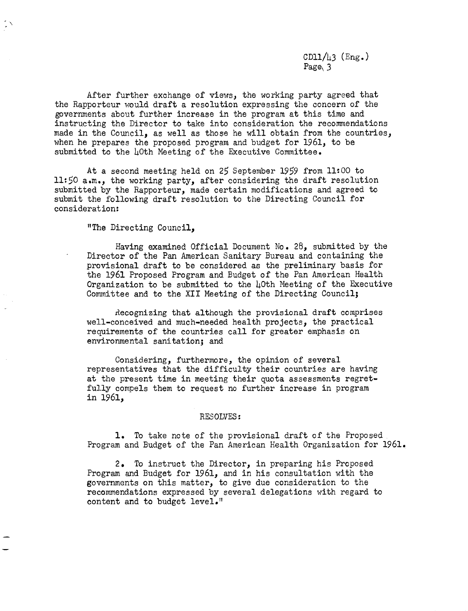$CD11/43$  (Eng.) Page<sub>\</sub> 3

After further exchange of views, the working party agreed that the Rapporteur would draft a resolution expressing the concern of the governments about further increase in the program at this time and instructing the Director to take into consideration the recommendations made in the Council, as well as those he will obtain from the countries, when he prepares the proposed program and budget for 1961, to be submitted to the 40th Meeting of the Executive Committee.

At a second meeting held on 25 September 1959 from 11:00 to 11:50 a.m., the working party, after considering the draft resolution submitted by the Rapporteur, made certain modifications and agreed to submit the following draft resolution to the Directing Council for consideration:

"The Directing Council,

 $\zeta \times$ 

Having examined Official Document No. 28, submitted by the Director of the Pan American Sanitary Bureau and containing the provisional draft to be considered as the preliminary basis for the 1961 Proposed Program and Budget of the Pan American Health Organization to be submitted to the  $h$ Oth Meeting of the Executive Committee and to the XII Meeting of the Directing Council;

Recognizing that although the provisional draft comprises well-conceived and much-needed health projects, the practical requirements of the countries call for greater emphasis on environmental sanitation; and

Considering, furthermore, the opinion of several representatives that the difficulty their countries are having at the present time in meeting their quota assessments regretfully compels them to request no further increase in program in 1961,

#### RESOLVES:

1. To take note of the provisional draft of the Proposed Program and Budget of the Pan American Health Organization for 1961.

2. To instruct the Director, in preparing his Proposed Program and Budget for 1961, and in his consultation with the governments on this matter, to give due consideration to the recommendations expressed by several delegations with regard to content and to budget level."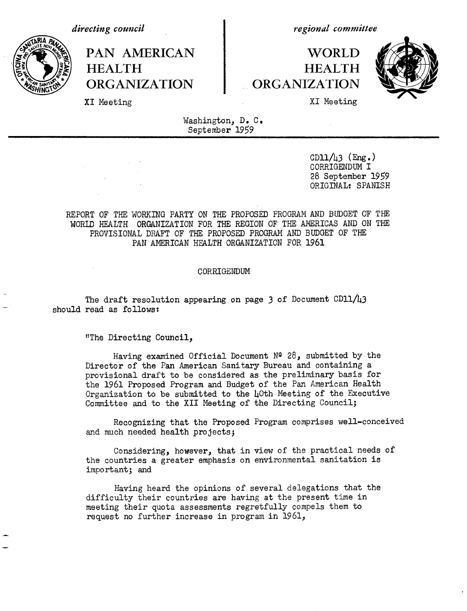*directing council*

*regional committee*

# PAN AMERICAN 1 WORLD **HEALTH HEALTH ORGANIZATION ORGANIZATION**



XI Meeting XI Meeting Santa Communications and All Meeting States and All Meeting States and All Meeting States and All Meeting States and All Meeting States and All Meeting States and All Meeting States and All Meeting St

Washington, D. C. September 1959

> CD11 $/$ 43 (Eng.) CORRIGENDUM I 28 September 1959 ORIGINAL: SPANISH

REPORT OF THE WORKING PARTY ON THE PROPOSED PROGRAM AND BUDGET OF THE WORLD HEALTH ORGANIZATION FOR THE REGION OF THE AMERICAS AND ON THE PROVISIONAL DRAFT OF THE PROPOSED PROGRAM AND BUDGET OF THE PAN AMERICAN HEALTH ORGANIZATION FOR 1961

#### CORRIGENDUM

The draft resolution appearing on page 3 of Document CD11/43 should read as follows:

"The Directing Council,

Having examined Official Document  $N^2$  28, submitted by the Director of the Pan American Sanitary Bureau and containing a provisional draft to be considered as the preliminary basis for the 1961 Proposed Program and Budget of the Pan American Health Organization to be submitted to the  $\mu$ Oth Meeting of the Executive Committee and to the XII Meeting of the Directing Council;

Recognizing that the Proposed Program comprises well-conceived and much needed health projects;

Considering, however, that in view of the practical needs of the countries a greater emphasis on environmental sanitation is important; and

Having heard the opinions of several delegations that the difficulty their countries are having at the present time in meeting their quota assessments regretfully compels them to request no further increase in program in 1961,